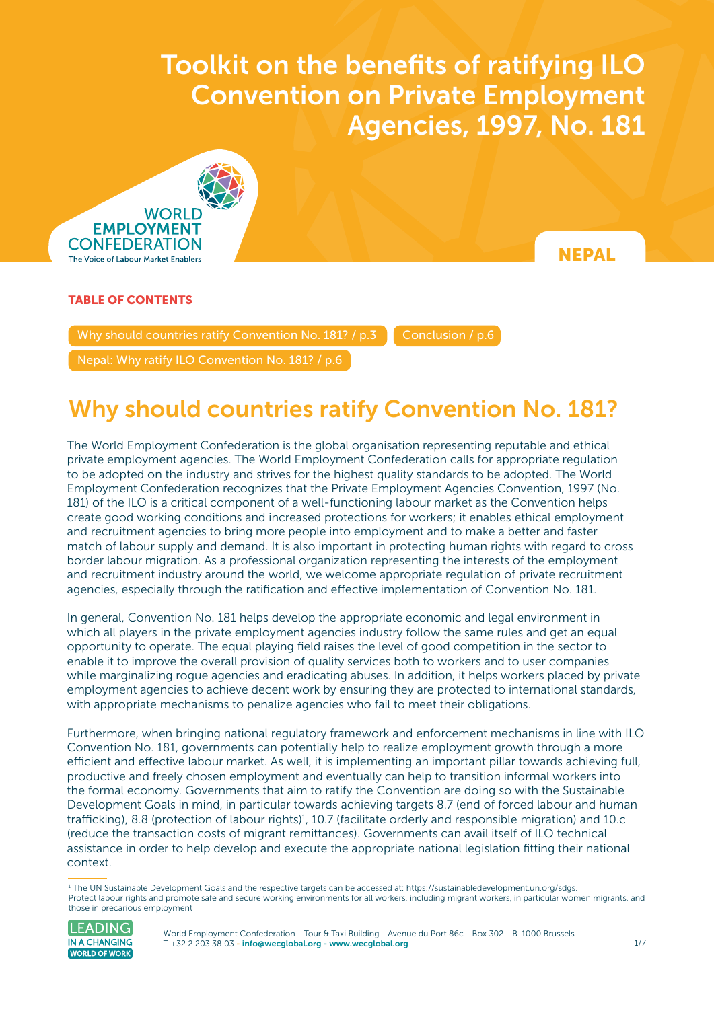$\sigma$  and benefits of ratification on Private Employment Agencies, 1997, No. 1817, No. 1817, No. 1817, No. 1817, No. 1817, No. 1817, No. 1817, No. 1817, No. 1817, No. 1817, No. 1817, No. 1817, No. 1817, No. 1817, No. 1817, **Convention on Private Employment** Toolkit on the benefits of ratifying ILO Agencies, 1997, No. 181



**NEPAL** 

### TABLE OF CONTENTS

Why should countries ratify Convention No. 181? / p.3  $\blacksquare$  [Conclusion / p.6](#page-5-0)

[Nepal: Why ratify ILO Convention No. 181? / p.6](#page-5-0) 

## Why should countries ratify Convention No. 181?

The World Employment Confederation is the global organisation representing reputable and ethical private employment agencies. The World Employment Confederation calls for appropriate regulation to be adopted on the industry and strives for the highest quality standards to be adopted. The World Employment Confederation recognizes that the Private Employment Agencies Convention, 1997 (No. 181) of the ILO is a critical component of a well-functioning labour market as the Convention helps create good working conditions and increased protections for workers; it enables ethical employment and recruitment agencies to bring more people into employment and to make a better and faster match of labour supply and demand. It is also important in protecting human rights with regard to cross border labour migration. As a professional organization representing the interests of the employment and recruitment industry around the world, we welcome appropriate regulation of private recruitment agencies, especially through the ratification and effective implementation of Convention No. 181.

In general, Convention No. 181 helps develop the appropriate economic and legal environment in which all players in the private employment agencies industry follow the same rules and get an equal opportunity to operate. The equal playing field raises the level of good competition in the sector to enable it to improve the overall provision of quality services both to workers and to user companies while marginalizing rogue agencies and eradicating abuses. In addition, it helps workers placed by private employment agencies to achieve decent work by ensuring they are protected to international standards, with appropriate mechanisms to penalize agencies who fail to meet their obligations.

Furthermore, when bringing national regulatory framework and enforcement mechanisms in line with ILO Convention No. 181, governments can potentially help to realize employment growth through a more efficient and effective labour market. As well, it is implementing an important pillar towards achieving full, productive and freely chosen employment and eventually can help to transition informal workers into the formal economy. Governments that aim to ratify the Convention are doing so with the Sustainable Development Goals in mind, in particular towards achieving targets 8.7 (end of forced labour and human trafficking), 8.8 (protection of labour rights)<sup>1</sup>, 10.7 (facilitate orderly and responsible migration) and 10.c (reduce the transaction costs of migrant remittances). Governments can avail itself of ILO technical assistance in order to help develop and execute the appropriate national legislation fitting their national context.

<sup>1</sup> The UN Sustainable Development Goals and the respective targets can be accessed at: <https://sustainabledevelopment.un.org/sdgs>. Protect labour rights and promote safe and secure working environments for all workers, including migrant workers, in particular women migrants, and those in precarious employment



World Employment Confederation - Tour & Taxi Building - Avenue du Port 86c - Box 302 - B-1000 Brussels - T +32 2 203 38 03 [- info@wecglobal.org](mailto:info%40wecglobal.org?subject=) - [www.wecglobal.org](http://www.wecglobal.org)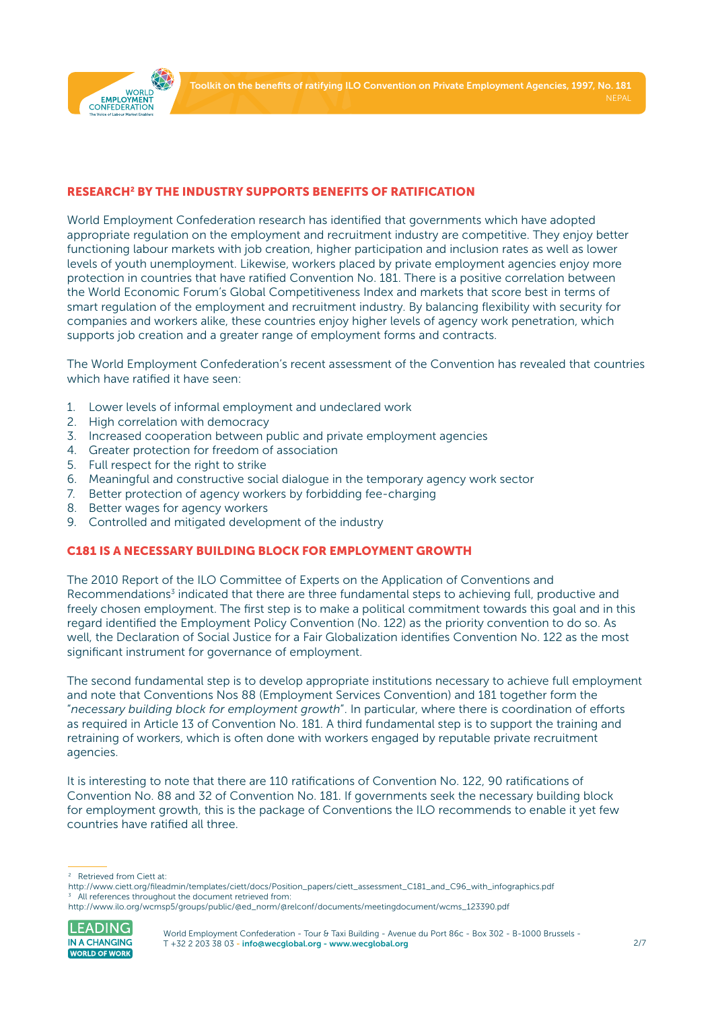

#### RESEARCH2 BY THE INDUSTRY SUPPORTS BENEFITS OF RATIFICATION

World Employment Confederation research has identified that governments which have adopted appropriate regulation on the employment and recruitment industry are competitive. They enjoy better functioning labour markets with job creation, higher participation and inclusion rates as well as lower levels of youth unemployment. Likewise, workers placed by private employment agencies enjoy more protection in countries that have ratified Convention No. 181. There is a positive correlation between the World Economic Forum's Global Competitiveness Index and markets that score best in terms of smart regulation of the employment and recruitment industry. By balancing flexibility with security for companies and workers alike, these countries enjoy higher levels of agency work penetration, which supports job creation and a greater range of employment forms and contracts.

The World Employment Confederation's recent assessment of the Convention has revealed that countries which have ratified it have seen:

- 1. Lower levels of informal employment and undeclared work
- 2. High correlation with democracy
- 3. Increased cooperation between public and private employment agencies
- 4. Greater protection for freedom of association
- 5. Full respect for the right to strike
- 6. Meaningful and constructive social dialogue in the temporary agency work sector
- 7. Better protection of agency workers by forbidding fee-charging
- 8. Better wages for agency workers
- 9. Controlled and mitigated development of the industry

#### C181 IS A NECESSARY BUILDING BLOCK FOR EMPLOYMENT GROWTH

The 2010 Report of the ILO Committee of Experts on the Application of Conventions and Recommendations<sup>3</sup> indicated that there are three fundamental steps to achieving full, productive and freely chosen employment. The first step is to make a political commitment towards this goal and in this regard identified the Employment Policy Convention (No. 122) as the priority convention to do so. As well, the Declaration of Social Justice for a Fair Globalization identifies Convention No. 122 as the most significant instrument for governance of employment.

The second fundamental step is to develop appropriate institutions necessary to achieve full employment and note that Conventions Nos 88 (Employment Services Convention) and 181 together form the "*necessary building block for employment growth*". In particular, where there is coordination of efforts as required in Article 13 of Convention No. 181. A third fundamental step is to support the training and retraining of workers, which is often done with workers engaged by reputable private recruitment agencies.

It is interesting to note that there are 110 ratifications of Convention No. 122, 90 ratifications of Convention No. 88 and 32 of Convention No. 181. If governments seek the necessary building block for employment growth, this is the package of Conventions the ILO recommends to enable it yet few countries have ratified all three.

[http://www.ilo.org/wcmsp5/groups/public/@ed\\_norm/@relconf/documents/meetingdocument/wcms\\_123390.pdf](http://www.ilo.org/wcmsp5/groups/public/@ed_norm/@relconf/documents/meetingdocument/wcms_123390.pdf)



<sup>2</sup> Retrieved from Ciett at:

[http://www.ciett.org/fileadmin/templates/ciett/docs/Position\\_papers/ciett\\_assessment\\_C181\\_and\\_C96\\_with\\_infographics.pdf](http://www.ciett.org/fileadmin/templates/ciett/docs/Position_papers/ciett_assessment_C181_and_C96_with_infographics.pdf) All references throughout the document retrieved from: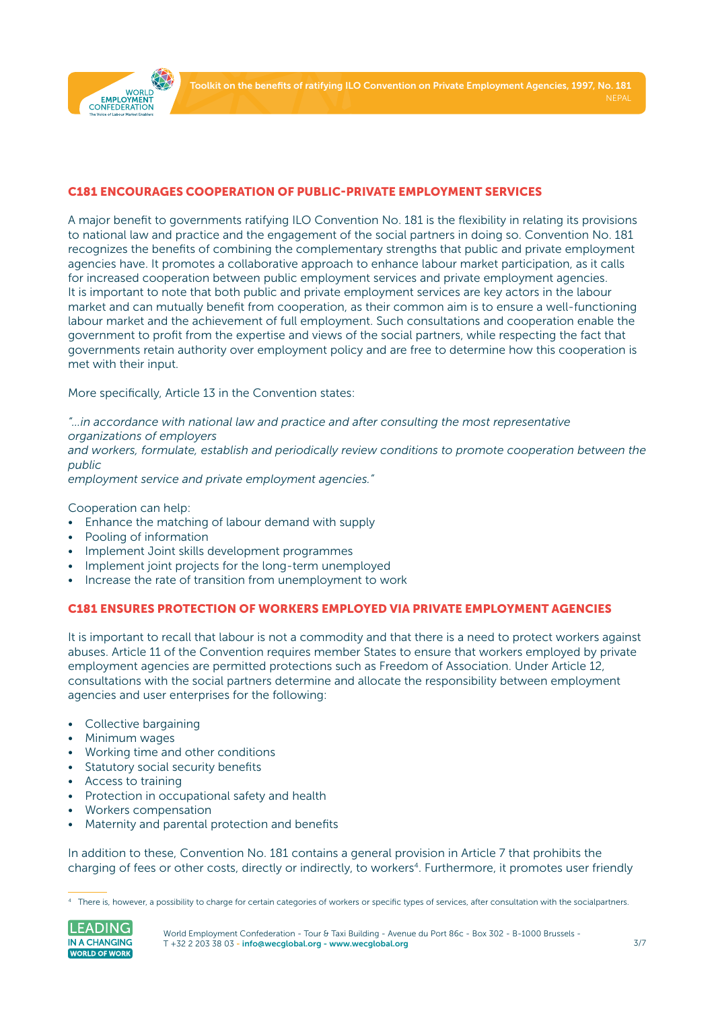

#### C181 ENCOURAGES COOPERATION OF PUBLIC-PRIVATE EMPLOYMENT SERVICES

A major benefit to governments ratifying ILO Convention No. 181 is the flexibility in relating its provisions to national law and practice and the engagement of the social partners in doing so. Convention No. 181 recognizes the benefits of combining the complementary strengths that public and private employment agencies have. It promotes a collaborative approach to enhance labour market participation, as it calls for increased cooperation between public employment services and private employment agencies. It is important to note that both public and private employment services are key actors in the labour market and can mutually benefit from cooperation, as their common aim is to ensure a well-functioning labour market and the achievement of full employment. Such consultations and cooperation enable the government to profit from the expertise and views of the social partners, while respecting the fact that governments retain authority over employment policy and are free to determine how this cooperation is met with their input.

More specifically, Article 13 in the Convention states:

*"…in accordance with national law and practice and after consulting the most representative organizations of employers*

*and workers, formulate, establish and periodically review conditions to promote cooperation between the public*

*employment service and private employment agencies."*

Cooperation can help:

- Enhance the matching of labour demand with supply
- Pooling of information
- Implement Joint skills development programmes
- Implement joint projects for the long-term unemployed
- Increase the rate of transition from unemployment to work

#### C181 ENSURES PROTECTION OF WORKERS EMPLOYED VIA PRIVATE EMPLOYMENT AGENCIES

It is important to recall that labour is not a commodity and that there is a need to protect workers against abuses. Article 11 of the Convention requires member States to ensure that workers employed by private employment agencies are permitted protections such as Freedom of Association. Under Article 12, consultations with the social partners determine and allocate the responsibility between employment agencies and user enterprises for the following:

- Collective bargaining
- Minimum wages
- Working time and other conditions
- Statutory social security benefits
- Access to training
- Protection in occupational safety and health
- Workers compensation
- Maternity and parental protection and benefits

In addition to these, Convention No. 181 contains a general provision in Article 7 that prohibits the charging of fees or other costs, directly or indirectly, to workers<sup>4</sup>. Furthermore, it promotes user friendly

<sup>4</sup> There is, however, a possibility to charge for certain categories of workers or specific types of services, after consultation with the socialpartners.

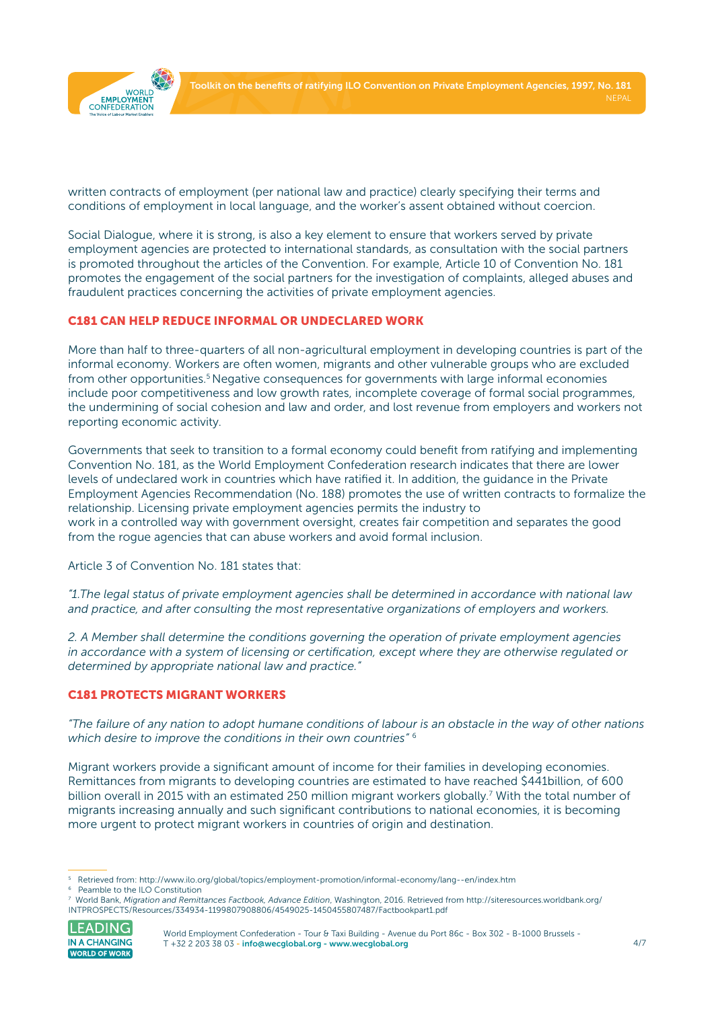

written contracts of employment (per national law and practice) clearly specifying their terms and conditions of employment in local language, and the worker's assent obtained without coercion.

Social Dialogue, where it is strong, is also a key element to ensure that workers served by private employment agencies are protected to international standards, as consultation with the social partners is promoted throughout the articles of the Convention. For example, Article 10 of Convention No. 181 promotes the engagement of the social partners for the investigation of complaints, alleged abuses and fraudulent practices concerning the activities of private employment agencies.

#### C181 CAN HELP REDUCE INFORMAL OR UNDECLARED WORK

More than half to three-quarters of all non-agricultural employment in developing countries is part of the informal economy. Workers are often women, migrants and other vulnerable groups who are excluded from other opportunities.<sup>5</sup> Negative consequences for governments with large informal economies include poor competitiveness and low growth rates, incomplete coverage of formal social programmes, the undermining of social cohesion and law and order, and lost revenue from employers and workers not reporting economic activity.

Governments that seek to transition to a formal economy could benefit from ratifying and implementing Convention No. 181, as the World Employment Confederation research indicates that there are lower levels of undeclared work in countries which have ratified it. In addition, the guidance in the Private Employment Agencies Recommendation (No. 188) promotes the use of written contracts to formalize the relationship. Licensing private employment agencies permits the industry to work in a controlled way with government oversight, creates fair competition and separates the good from the rogue agencies that can abuse workers and avoid formal inclusion.

Article 3 of Convention No. 181 states that:

*"1.The legal status of private employment agencies shall be determined in accordance with national law and practice, and after consulting the most representative organizations of employers and workers.*

*2. A Member shall determine the conditions governing the operation of private employment agencies in accordance with a system of licensing or certification, except where they are otherwise regulated or determined by appropriate national law and practice."*

#### C181 PROTECTS MIGRANT WORKERS

*"The failure of any nation to adopt humane conditions of labour is an obstacle in the way of other nations which desire to improve the conditions in their own countries"* <sup>6</sup>

Migrant workers provide a significant amount of income for their families in developing economies. Remittances from migrants to developing countries are estimated to have reached \$441billion, of 600 billion overall in 2015 with an estimated 250 million migrant workers globally.<sup>7</sup> With the total number of migrants increasing annually and such significant contributions to national economies, it is becoming more urgent to protect migrant workers in countries of origin and destination.

<sup>7</sup> World Bank, *Migration and Remittances Factbook, Advance Edition*, Washington, 2016. Retrieved from [http://siteresources.worldbank.org/](http://siteresources.worldbank.org/INTPROSPECTS/Resources/334934-1199807908806/4549025-1450455807487) [INTPROSPECTS/Resources/334934-1199807908806/4549025-1450455807487/Factbookpart1.pdf](http://siteresources.worldbank.org/INTPROSPECTS/Resources/334934-1199807908806/4549025-1450455807487) 



World Employment Confederation - Tour & Taxi Building - Avenue du Port 86c - Box 302 - B-1000 Brussels -T +32 2 203 38 03 [- info@wecglobal.org](mailto:info%40wecglobal.org?subject=) - [www.wecglobal.org](http://www.wecglobal.org)

<sup>5</sup> Retrieved from:<http://www.ilo.org/global/topics/employment-promotion/informal-economy/lang--en/index.htm>

<sup>6</sup> Peamble to the ILO Constitution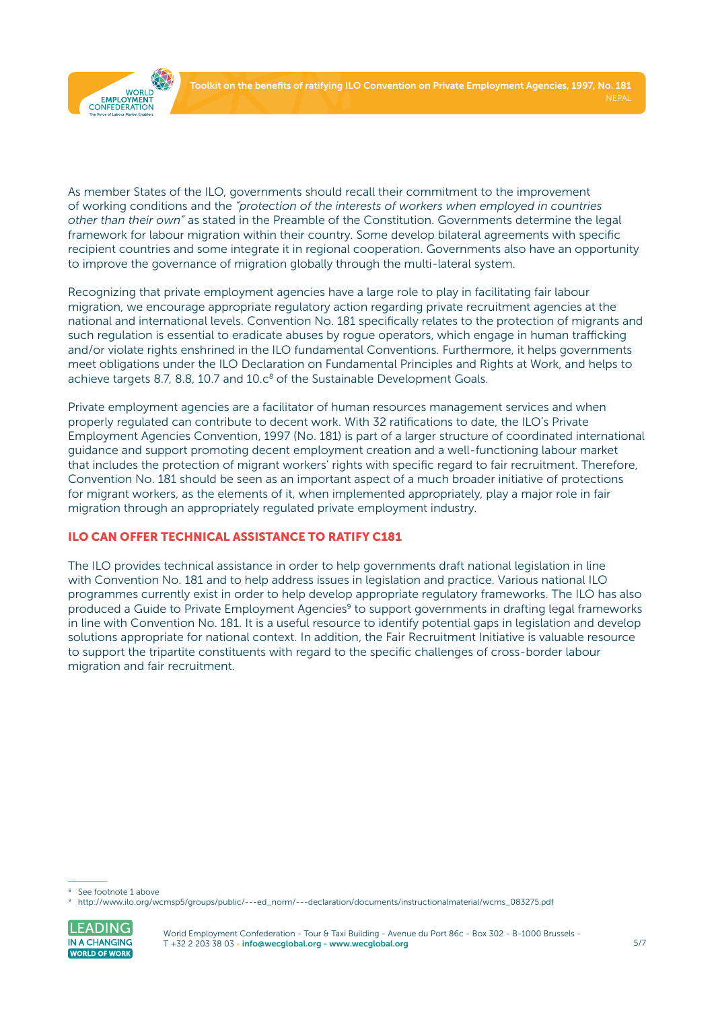

As member States of the ILO, governments should recall their commitment to the improvement of working conditions and the *"protection of the interests of workers when employed in countries other than their own"* as stated in the Preamble of the Constitution. Governments determine the legal framework for labour migration within their country. Some develop bilateral agreements with specific recipient countries and some integrate it in regional cooperation. Governments also have an opportunity to improve the governance of migration globally through the multi-lateral system.

Recognizing that private employment agencies have a large role to play in facilitating fair labour migration, we encourage appropriate regulatory action regarding private recruitment agencies at the national and international levels. Convention No. 181 specifically relates to the protection of migrants and such regulation is essential to eradicate abuses by rogue operators, which engage in human trafficking and/or violate rights enshrined in the ILO fundamental Conventions. Furthermore, it helps governments meet obligations under the ILO Declaration on Fundamental Principles and Rights at Work, and helps to achieve targets 8.7, 8.8, 10.7 and  $10.c<sup>8</sup>$  of the Sustainable Development Goals.

Private employment agencies are a facilitator of human resources management services and when properly regulated can contribute to decent work. With 32 ratifications to date, the ILO's Private Employment Agencies Convention, 1997 (No. 181) is part of a larger structure of coordinated international guidance and support promoting decent employment creation and a well-functioning labour market that includes the protection of migrant workers' rights with specific regard to fair recruitment. Therefore, Convention No. 181 should be seen as an important aspect of a much broader initiative of protections for migrant workers, as the elements of it, when implemented appropriately, play a major role in fair migration through an appropriately regulated private employment industry.

### ILO CAN OFFER TECHNICAL ASSISTANCE TO RATIFY C181

The ILO provides technical assistance in order to help governments draft national legislation in line with Convention No. 181 and to help address issues in legislation and practice. Various national ILO programmes currently exist in order to help develop appropriate regulatory frameworks. The ILO has also produced a Guide to Private Employment Agencies<sup>9</sup> to support governments in drafting legal frameworks in line with Convention No. 181. It is a useful resource to identify potential gaps in legislation and develop solutions appropriate for national context. In addition, the Fair Recruitment Initiative is valuable resource to support the tripartite constituents with regard to the specific challenges of cross-border labour migration and fair recruitment.

<sup>9</sup> [http://www.ilo.org/wcmsp5/groups/public/---ed\\_norm/---declaration/documents/instructionalmaterial/wcms\\_083275.pdf](http://www.ilo.org/wcmsp5/groups/public/---ed_norm/---declaration/documents/instructionalmaterial/wcms_083275.pdf)



<sup>&</sup>lt;sup>8</sup> See footnote 1 above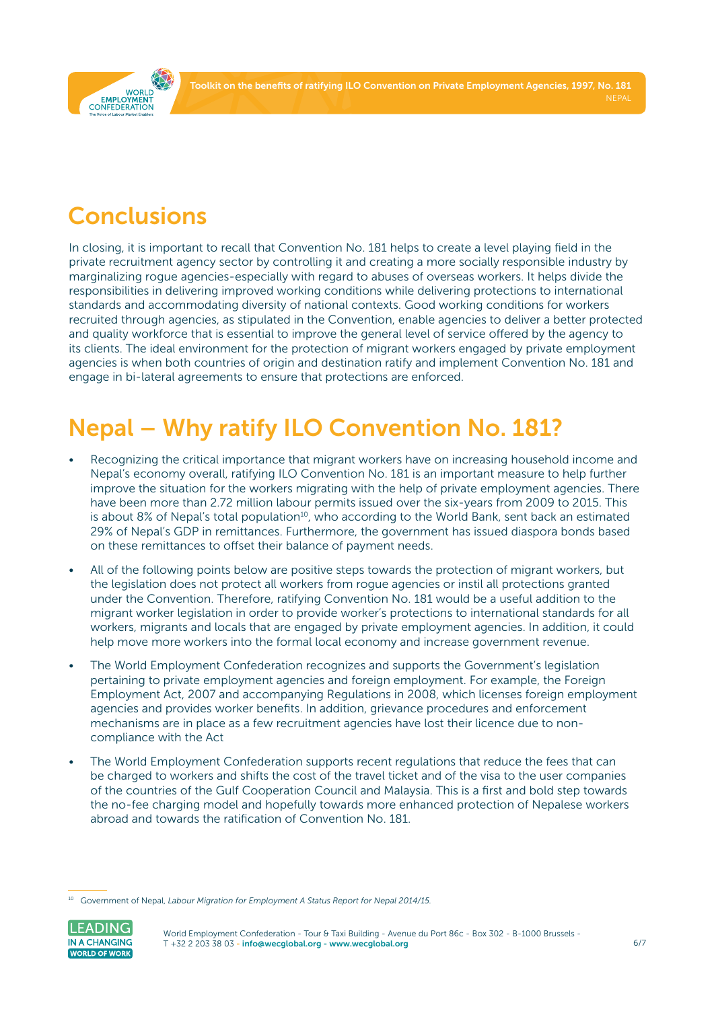Toolkit on the benefits of ratifying ILO Convention on Private Employment Agencies, 1997, No. 181

<span id="page-5-0"></span>

## **Conclusions**

In closing, it is important to recall that Convention No. 181 helps to create a level playing field in the private recruitment agency sector by controlling it and creating a more socially responsible industry by marginalizing rogue agencies-especially with regard to abuses of overseas workers. It helps divide the responsibilities in delivering improved working conditions while delivering protections to international standards and accommodating diversity of national contexts. Good working conditions for workers recruited through agencies, as stipulated in the Convention, enable agencies to deliver a better protected and quality workforce that is essential to improve the general level of service offered by the agency to its clients. The ideal environment for the protection of migrant workers engaged by private employment agencies is when both countries of origin and destination ratify and implement Convention No. 181 and engage in bi-lateral agreements to ensure that protections are enforced.

# Nepal – Why ratify ILO Convention No. 181?

- Recognizing the critical importance that migrant workers have on increasing household income and Nepal's economy overall, ratifying ILO Convention No. 181 is an important measure to help further improve the situation for the workers migrating with the help of private employment agencies. There have been more than 2.72 million labour permits issued over the six-years from 2009 to 2015. This is about 8% of Nepal's total population<sup>10</sup>, who according to the World Bank, sent back an estimated 29% of Nepal's GDP in remittances. Furthermore, the government has issued diaspora bonds based on these remittances to offset their balance of payment needs.
- All of the following points below are positive steps towards the protection of migrant workers, but the legislation does not protect all workers from rogue agencies or instil all protections granted under the Convention. Therefore, ratifying Convention No. 181 would be a useful addition to the migrant worker legislation in order to provide worker's protections to international standards for all workers, migrants and locals that are engaged by private employment agencies. In addition, it could help move more workers into the formal local economy and increase government revenue.
- The World Employment Confederation recognizes and supports the Government's legislation pertaining to private employment agencies and foreign employment. For example, the Foreign Employment Act, 2007 and accompanying Regulations in 2008, which licenses foreign employment agencies and provides worker benefits. In addition, grievance procedures and enforcement mechanisms are in place as a few recruitment agencies have lost their licence due to noncompliance with the Act
- The World Employment Confederation supports recent regulations that reduce the fees that can be charged to workers and shifts the cost of the travel ticket and of the visa to the user companies of the countries of the Gulf Cooperation Council and Malaysia. This is a first and bold step towards the no-fee charging model and hopefully towards more enhanced protection of Nepalese workers abroad and towards the ratification of Convention No. 181.

<sup>10</sup> Government of Nepal, *Labour Migration for Employment A Status Report for Nepal 2014/15.*